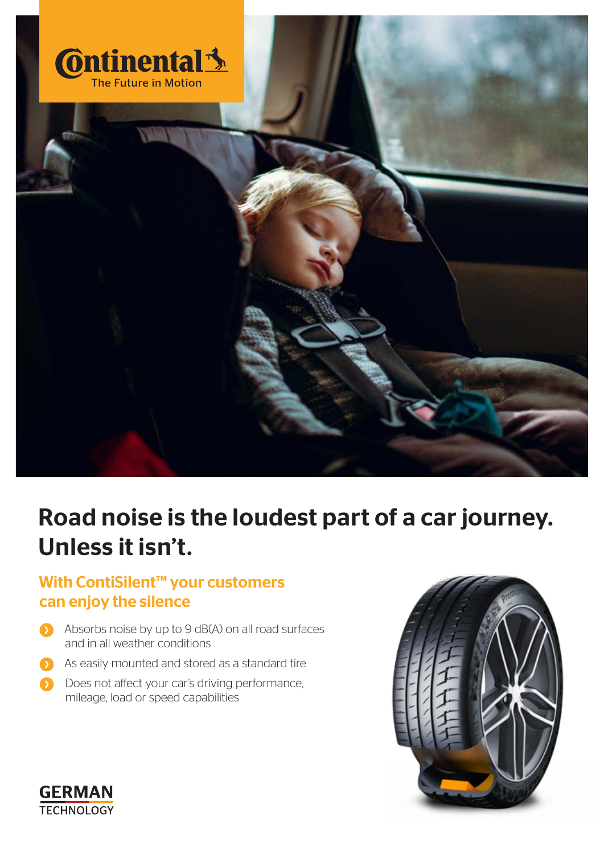

# Road noise is the loudest part of a car journey. Unless it isn't.

## With ContiSilent™ your customers can enjoy the silence

- Absorbs noise by up to 9 dB(A) on all road surfaces and in all weather conditions
- As easily mounted and stored as a standard tire 51
- Does not affect your car's driving performance,  $\mathbf{S}$ mileage, load or speed capabilities